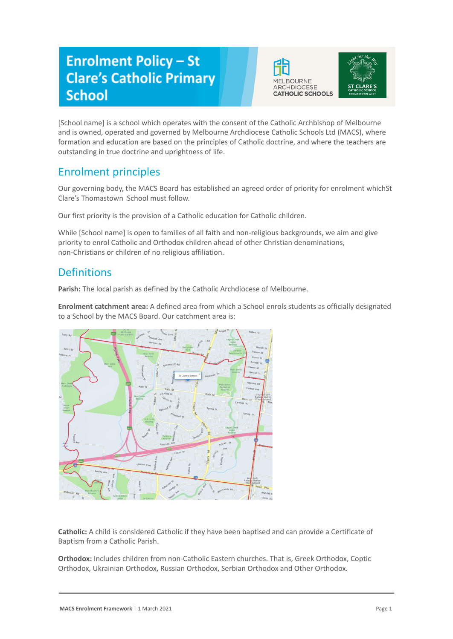# **Enrolment Policy - St Clare's Catholic Primary School**





[School name] is a school which operates with the consent of the Catholic Archbishop of Melbourne and is owned, operated and governed by Melbourne Archdiocese Catholic Schools Ltd (MACS), where formation and education are based on the principles of Catholic doctrine, and where the teachers are outstanding in true doctrine and uprightness of life.

## Enrolment principles

Our governing body, the MACS Board has established an agreed order of priority for enrolment whichSt Clare's Thomastown School must follow.

Our first priority is the provision of a Catholic education for Catholic children.

While [School name] is open to families of all faith and non-religious backgrounds, we aim and give priority to enrol Catholic and Orthodox children ahead of other Christian denominations, non-Christians or children of no religious affiliation.

### **Definitions**

**Parish:** The local parish as defined by the Catholic Archdiocese of Melbourne.

**Enrolment catchment area:** A defined area from which a School enrols students as officially designated to a School by the MACS Board. Our catchment area is:



**Catholic:** A child is considered Catholic if they have been baptised and can provide a Certificate of Baptism from a Catholic Parish.

**Orthodox:** Includes children from non-Catholic Eastern churches. That is, Greek Orthodox, Coptic Orthodox, Ukrainian Orthodox, Russian Orthodox, Serbian Orthodox and Other Orthodox.